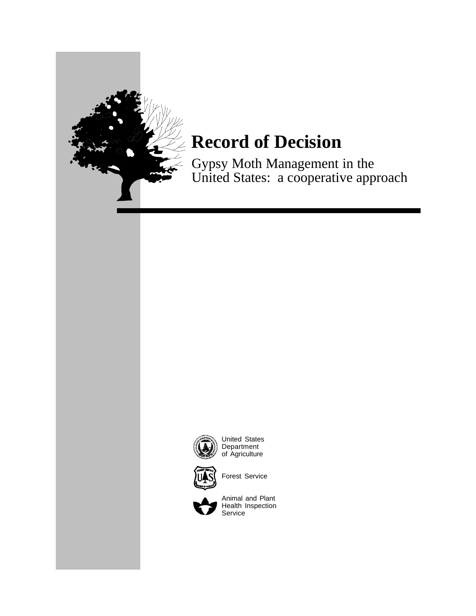

Gypsy Moth Management in the United States: a cooperative approach



United States Department of Agriculture



Forest Service



Animal and Plant Health Inspection Service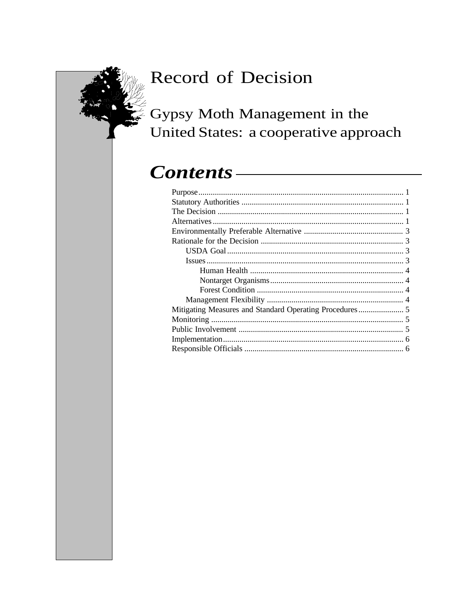# Gypsy Moth Management in the United States: a cooperative approach

# Contents-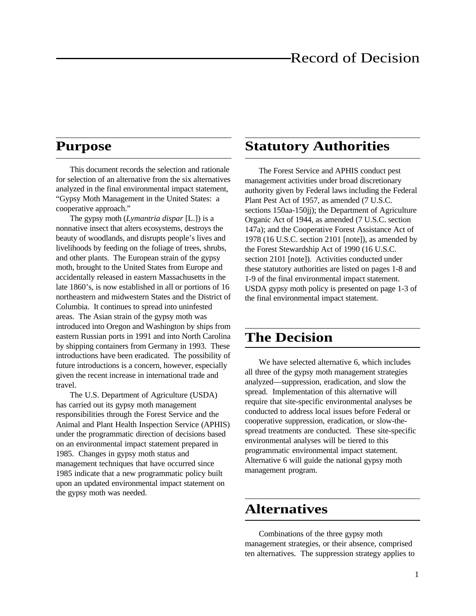#### **Purpose**

This document records the selection and rationale for selection of an alternative from the six alternatives analyzed in the final environmental impact statement, "Gypsy Moth Management in the United States: a cooperative approach."

The gypsy moth (*Lymantria dispar* [L.]) is a nonnative insect that alters ecosystems, destroys the beauty of woodlands, and disrupts people's lives and livelihoods by feeding on the foliage of trees, shrubs, and other plants. The European strain of the gypsy moth, brought to the United States from Europe and accidentally released in eastern Massachusetts in the late 1860's, is now established in all or portions of 16 northeastern and midwestern States and the District of Columbia. It continues to spread into uninfested areas. The Asian strain of the gypsy moth was introduced into Oregon and Washington by ships from eastern Russian ports in 1991 and into North Carolina by shipping containers from Germany in 1993. These introductions have been eradicated. The possibility of future introductions is a concern, however, especially given the recent increase in international trade and travel.

The U.S. Department of Agriculture (USDA) has carried out its gypsy moth management responsibilities through the Forest Service and the Animal and Plant Health Inspection Service (APHIS) under the programmatic direction of decisions based on an environmental impact statement prepared in 1985. Changes in gypsy moth status and management techniques that have occurred since 1985 indicate that a new programmatic policy built upon an updated environmental impact statement on the gypsy moth was needed.

### **Statutory Authorities**

The Forest Service and APHIS conduct pest management activities under broad discretionary authority given by Federal laws including the Federal Plant Pest Act of 1957, as amended (7 U.S.C. sections 150aa-150jj); the Department of Agriculture Organic Act of 1944, as amended (7 U.S.C. section 147a); and the Cooperative Forest Assistance Act of 1978 (16 U.S.C. section 2101 [note]), as amended by the Forest Stewardship Act of 1990 (16 U.S.C. section 2101 [note]). Activities conducted under these statutory authorities are listed on pages 1-8 and 1-9 of the final environmental impact statement. USDA gypsy moth policy is presented on page 1-3 of the final environmental impact statement.

### **The Decision**

We have selected alternative 6, which includes all three of the gypsy moth management strategies analyzed—suppression, eradication, and slow the spread. Implementation of this alternative will require that site-specific environmental analyses be conducted to address local issues before Federal or cooperative suppression, eradication, or slow-thespread treatments are conducted. These site-specific environmental analyses will be tiered to this programmatic environmental impact statement. Alternative 6 will guide the national gypsy moth management program.

#### **Alternatives**

Combinations of the three gypsy moth management strategies, or their absence, comprised ten alternatives. The suppression strategy applies to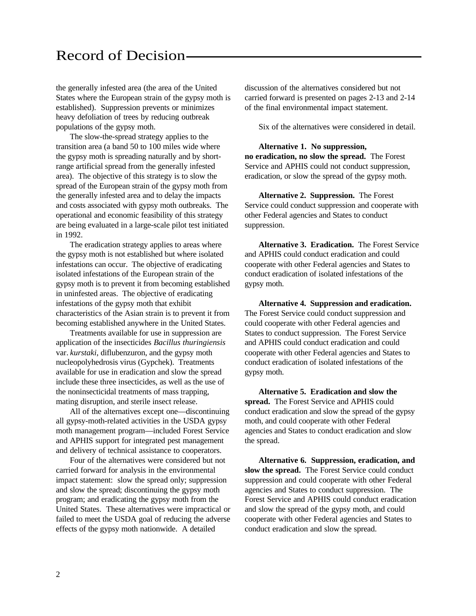the generally infested area (the area of the United States where the European strain of the gypsy moth is established). Suppression prevents or minimizes heavy defoliation of trees by reducing outbreak populations of the gypsy moth.

The slow-the-spread strategy applies to the transition area (a band 50 to 100 miles wide where the gypsy moth is spreading naturally and by shortrange artificial spread from the generally infested area). The objective of this strategy is to slow the spread of the European strain of the gypsy moth from the generally infested area and to delay the impacts and costs associated with gypsy moth outbreaks. The operational and economic feasibility of this strategy are being evaluated in a large-scale pilot test initiated in 1992.

The eradication strategy applies to areas where the gypsy moth is not established but where isolated infestations can occur. The objective of eradicating isolated infestations of the European strain of the gypsy moth is to prevent it from becoming established in uninfested areas. The objective of eradicating infestations of the gypsy moth that exhibit characteristics of the Asian strain is to prevent it from becoming established anywhere in the United States.

Treatments available for use in suppression are application of the insecticides *Bacillus thuringiensis* var. *kurstaki*, diflubenzuron, and the gypsy moth nucleopolyhedrosis virus (Gypchek). Treatments available for use in eradication and slow the spread include these three insecticides, as well as the use of the noninsecticidal treatments of mass trapping, mating disruption, and sterile insect release.

All of the alternatives except one—discontinuing all gypsy-moth-related activities in the USDA gypsy moth management program—included Forest Service and APHIS support for integrated pest management and delivery of technical assistance to cooperators.

Four of the alternatives were considered but not carried forward for analysis in the environmental impact statement: slow the spread only; suppression and slow the spread; discontinuing the gypsy moth program; and eradicating the gypsy moth from the United States. These alternatives were impractical or failed to meet the USDA goal of reducing the adverse effects of the gypsy moth nationwide. A detailed

discussion of the alternatives considered but not carried forward is presented on pages 2-13 and 2-14 of the final environmental impact statement.

Six of the alternatives were considered in detail.

**Alternative 1. No suppression, no eradication, no slow the spread.** The Forest Service and APHIS could not conduct suppression, eradication, or slow the spread of the gypsy moth.

**Alternative 2. Suppression.** The Forest Service could conduct suppression and cooperate with other Federal agencies and States to conduct suppression.

**Alternative 3. Eradication.** The Forest Service and APHIS could conduct eradication and could cooperate with other Federal agencies and States to conduct eradication of isolated infestations of the gypsy moth.

**Alternative 4. Suppression and eradication.** The Forest Service could conduct suppression and could cooperate with other Federal agencies and States to conduct suppression. The Forest Service and APHIS could conduct eradication and could cooperate with other Federal agencies and States to conduct eradication of isolated infestations of the gypsy moth.

**Alternative 5. Eradication and slow the spread.** The Forest Service and APHIS could conduct eradication and slow the spread of the gypsy moth, and could cooperate with other Federal agencies and States to conduct eradication and slow the spread.

**Alternative 6. Suppression, eradication, and slow the spread.** The Forest Service could conduct suppression and could cooperate with other Federal agencies and States to conduct suppression. The Forest Service and APHIS could conduct eradication and slow the spread of the gypsy moth, and could cooperate with other Federal agencies and States to conduct eradication and slow the spread.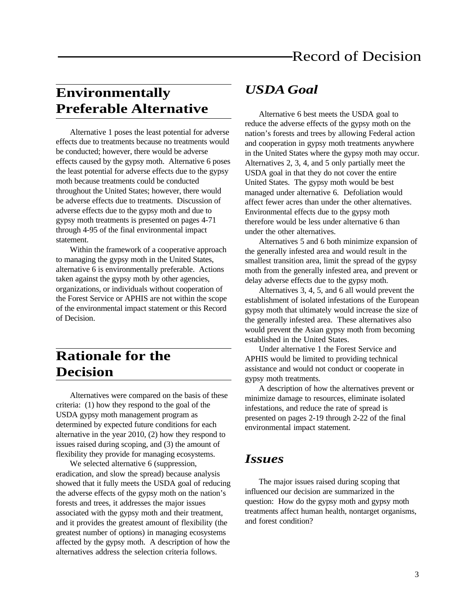### **Environmentally Preferable Alternative**

Alternative 1 poses the least potential for adverse effects due to treatments because no treatments would be conducted; however, there would be adverse effects caused by the gypsy moth. Alternative 6 poses the least potential for adverse effects due to the gypsy moth because treatments could be conducted throughout the United States; however, there would be adverse effects due to treatments. Discussion of adverse effects due to the gypsy moth and due to gypsy moth treatments is presented on pages 4-71 through 4-95 of the final environmental impact statement.

Within the framework of a cooperative approach to managing the gypsy moth in the United States, alternative 6 is environmentally preferable. Actions taken against the gypsy moth by other agencies, organizations, or individuals without cooperation of the Forest Service or APHIS are not within the scope of the environmental impact statement or this Record of Decision.

### **Rationale for the Decision**

Alternatives were compared on the basis of these criteria: (1) how they respond to the goal of the USDA gypsy moth management program as determined by expected future conditions for each alternative in the year 2010, (2) how they respond to issues raised during scoping, and (3) the amount of flexibility they provide for managing ecosystems.

We selected alternative 6 (suppression, eradication, and slow the spread) because analysis showed that it fully meets the USDA goal of reducing the adverse effects of the gypsy moth on the nation's forests and trees, it addresses the major issues associated with the gypsy moth and their treatment, and it provides the greatest amount of flexibility (the greatest number of options) in managing ecosystems affected by the gypsy moth. A description of how the alternatives address the selection criteria follows.

#### *USDA Goal*

Alternative 6 best meets the USDA goal to reduce the adverse effects of the gypsy moth on the nation's forests and trees by allowing Federal action and cooperation in gypsy moth treatments anywhere in the United States where the gypsy moth may occur. Alternatives 2, 3, 4, and 5 only partially meet the USDA goal in that they do not cover the entire United States. The gypsy moth would be best managed under alternative 6. Defoliation would affect fewer acres than under the other alternatives. Environmental effects due to the gypsy moth therefore would be less under alternative 6 than under the other alternatives.

Alternatives 5 and 6 both minimize expansion of the generally infested area and would result in the smallest transition area, limit the spread of the gypsy moth from the generally infested area, and prevent or delay adverse effects due to the gypsy moth.

Alternatives 3, 4, 5, and 6 all would prevent the establishment of isolated infestations of the European gypsy moth that ultimately would increase the size of the generally infested area. These alternatives also would prevent the Asian gypsy moth from becoming established in the United States.

Under alternative 1 the Forest Service and APHIS would be limited to providing technical assistance and would not conduct or cooperate in gypsy moth treatments.

A description of how the alternatives prevent or minimize damage to resources, eliminate isolated infestations, and reduce the rate of spread is presented on pages 2-19 through 2-22 of the final environmental impact statement.

#### *Issues*

The major issues raised during scoping that influenced our decision are summarized in the question: How do the gypsy moth and gypsy moth treatments affect human health, nontarget organisms, and forest condition?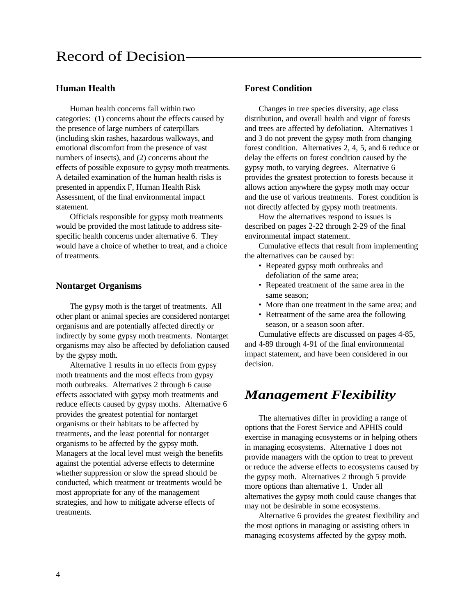#### **Human Health**

Human health concerns fall within two categories: (1) concerns about the effects caused by the presence of large numbers of caterpillars (including skin rashes, hazardous walkways, and emotional discomfort from the presence of vast numbers of insects), and (2) concerns about the effects of possible exposure to gypsy moth treatments. A detailed examination of the human health risks is presented in appendix F, Human Health Risk Assessment, of the final environmental impact statement.

Officials responsible for gypsy moth treatments would be provided the most latitude to address sitespecific health concerns under alternative 6. They would have a choice of whether to treat, and a choice of treatments.

#### **Nontarget Organisms**

The gypsy moth is the target of treatments. All other plant or animal species are considered nontarget organisms and are potentially affected directly or indirectly by some gypsy moth treatments. Nontarget organisms may also be affected by defoliation caused by the gypsy moth.

Alternative 1 results in no effects from gypsy moth treatments and the most effects from gypsy moth outbreaks. Alternatives 2 through 6 cause effects associated with gypsy moth treatments and reduce effects caused by gypsy moths. Alternative 6 provides the greatest potential for nontarget organisms or their habitats to be affected by treatments, and the least potential for nontarget organisms to be affected by the gypsy moth. Managers at the local level must weigh the benefits against the potential adverse effects to determine whether suppression or slow the spread should be conducted, which treatment or treatments would be most appropriate for any of the management strategies, and how to mitigate adverse effects of treatments.

#### **Forest Condition**

Changes in tree species diversity, age class distribution, and overall health and vigor of forests and trees are affected by defoliation. Alternatives 1 and 3 do not prevent the gypsy moth from changing forest condition. Alternatives 2, 4, 5, and 6 reduce or delay the effects on forest condition caused by the gypsy moth, to varying degrees. Alternative 6 provides the greatest protection to forests because it allows action anywhere the gypsy moth may occur and the use of various treatments. Forest condition is not directly affected by gypsy moth treatments.

How the alternatives respond to issues is described on pages 2-22 through 2-29 of the final environmental impact statement.

Cumulative effects that result from implementing the alternatives can be caused by:

- Repeated gypsy moth outbreaks and defoliation of the same area;
- Repeated treatment of the same area in the same season;
- More than one treatment in the same area; and
- Retreatment of the same area the following season, or a season soon after.

Cumulative effects are discussed on pages 4-85, and 4-89 through 4-91 of the final environmental impact statement, and have been considered in our decision.

### *Management Flexibility*

The alternatives differ in providing a range of options that the Forest Service and APHIS could exercise in managing ecosystems or in helping others in managing ecosystems. Alternative 1 does not provide managers with the option to treat to prevent or reduce the adverse effects to ecosystems caused by the gypsy moth. Alternatives 2 through 5 provide more options than alternative 1. Under all alternatives the gypsy moth could cause changes that may not be desirable in some ecosystems.

Alternative 6 provides the greatest flexibility and the most options in managing or assisting others in managing ecosystems affected by the gypsy moth.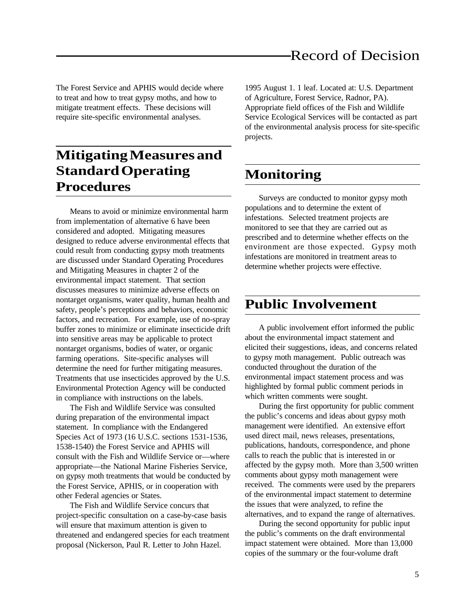The Forest Service and APHIS would decide where to treat and how to treat gypsy moths, and how to mitigate treatment effects. These decisions will require site-specific environmental analyses.

## **Mitigating Measures and Standard Operating Procedures**

Means to avoid or minimize environmental harm from implementation of alternative 6 have been considered and adopted. Mitigating measures designed to reduce adverse environmental effects that could result from conducting gypsy moth treatments are discussed under Standard Operating Procedures and Mitigating Measures in chapter 2 of the environmental impact statement. That section discusses measures to minimize adverse effects on nontarget organisms, water quality, human health and safety, people's perceptions and behaviors, economic factors, and recreation. For example, use of no-spray buffer zones to minimize or eliminate insecticide drift into sensitive areas may be applicable to protect nontarget organisms, bodies of water, or organic farming operations. Site-specific analyses will determine the need for further mitigating measures. Treatments that use insecticides approved by the U.S. Environmental Protection Agency will be conducted in compliance with instructions on the labels.

The Fish and Wildlife Service was consulted during preparation of the environmental impact statement. In compliance with the Endangered Species Act of 1973 (16 U.S.C. sections 1531-1536, 1538-1540) the Forest Service and APHIS will consult with the Fish and Wildlife Service or—where appropriate—the National Marine Fisheries Service, on gypsy moth treatments that would be conducted by the Forest Service, APHIS, or in cooperation with other Federal agencies or States.

The Fish and Wildlife Service concurs that project-specific consultation on a case-by-case basis will ensure that maximum attention is given to threatened and endangered species for each treatment proposal (Nickerson, Paul R. Letter to John Hazel.

1995 August 1. 1 leaf. Located at: U.S. Department of Agriculture, Forest Service, Radnor, PA). Appropriate field offices of the Fish and Wildlife Service Ecological Services will be contacted as part of the environmental analysis process for site-specific projects.

## **Monitoring**

Surveys are conducted to monitor gypsy moth populations and to determine the extent of infestations. Selected treatment projects are monitored to see that they are carried out as prescribed and to determine whether effects on the environment are those expected. Gypsy moth infestations are monitored in treatment areas to determine whether projects were effective.

### **Public Involvement**

A public involvement effort informed the public about the environmental impact statement and elicited their suggestions, ideas, and concerns related to gypsy moth management. Public outreach was conducted throughout the duration of the environmental impact statement process and was highlighted by formal public comment periods in which written comments were sought.

During the first opportunity for public comment the public's concerns and ideas about gypsy moth management were identified. An extensive effort used direct mail, news releases, presentations, publications, handouts, correspondence, and phone calls to reach the public that is interested in or affected by the gypsy moth. More than 3,500 written comments about gypsy moth management were received. The comments were used by the preparers of the environmental impact statement to determine the issues that were analyzed, to refine the alternatives, and to expand the range of alternatives.

During the second opportunity for public input the public's comments on the draft environmental impact statement were obtained. More than 13,000 copies of the summary or the four-volume draft